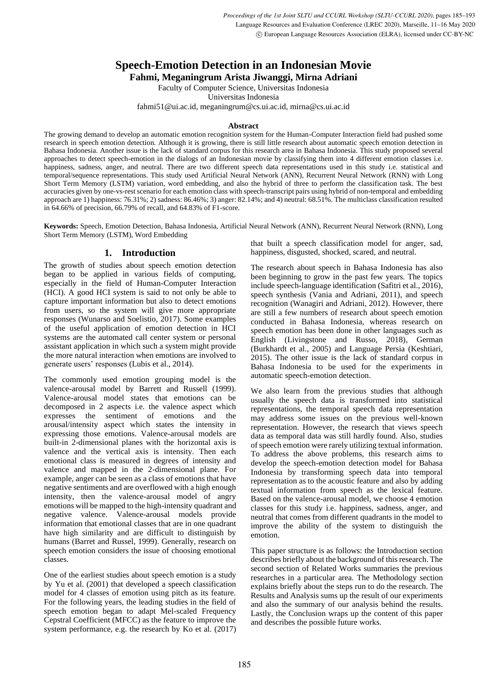# **Speech-Emotion Detection in an Indonesian Movie**

**Fahmi, Meganingrum Arista Jiwanggi, Mirna Adriani**

Faculty of Computer Science, Universitas Indonesia

Universitas Indonesia

fahmi51@ui.ac.id, meganingrum@cs.ui.ac.id, mirna@cs.ui.ac.id

#### **Abstract**

The growing demand to develop an automatic emotion recognition system for the Human-Computer Interaction field had pushed some research in speech emotion detection. Although it is growing, there is still little research about automatic speech emotion detection in Bahasa Indonesia. Another issue is the lack of standard corpus for this research area in Bahasa Indonesia. This study proposed several approaches to detect speech-emotion in the dialogs of an Indonesian movie by classifying them into 4 different emotion classes i.e. happiness, sadness, anger, and neutral. There are two different speech data representations used in this study i.e. statistical and temporal/sequence representations. This study used Artificial Neural Network (ANN), Recurrent Neural Network (RNN) with Long Short Term Memory (LSTM) variation, word embedding, and also the hybrid of three to perform the classification task. The best accuracies given by one-vs-rest scenario for each emotion class with speech-transcript pairs using hybrid of non-temporal and embedding approach are 1) happiness: 76.31%; 2) sadness: 86.46%; 3) anger: 82.14%; and 4) neutral: 68.51%. The multiclass classification resulted in 64.66% of precision, 66.79% of recall, and 64.83% of F1-score.

**Keywords:** Speech, Emotion Detection, Bahasa Indonesia, Artificial Neural Network (ANN), Recurrent Neural Network (RNN), Long Short Term Memory (LSTM), Word Embedding

# **1. Introduction**

The growth of studies about speech emotion detection began to be applied in various fields of computing, especially in the field of Human-Computer Interaction (HCI). A good HCI system is said to not only be able to capture important information but also to detect emotions from users, so the system will give more appropriate responses (Wunarso and Soelistio, 2017). Some examples of the useful application of emotion detection in HCI systems are the automated call center system or personal assistant application in which such a system might provide the more natural interaction when emotions are involved to generate users' responses (Lubis et al., 2014).

The commonly used emotion grouping model is the valence-arousal model by Barrett and Russell (1999). Valence-arousal model states that emotions can be decomposed in 2 aspects i.e. the valence aspect which expresses the sentiment of emotions and the arousal/intensity aspect which states the intensity in expressing those emotions. Valence-arousal models are built-in 2-dimensional planes with the horizontal axis is valence and the vertical axis is intensity. Then each emotional class is measured in degrees of intensity and valence and mapped in the 2-dimensional plane. For example, anger can be seen as a class of emotions that have negative sentiments and are overflowed with a high enough intensity, then the valence-arousal model of angry emotions will be mapped to the high-intensity quadrant and negative valence. Valence-arousal models provide information that emotional classes that are in one quadrant have high similarity and are difficult to distinguish by humans (Barret and Russel, 1999). Generally, research on speech emotion considers the issue of choosing emotional classes.

One of the earliest studies about speech emotion is a study by Yu et al. (2001) that developed a speech classification model for 4 classes of emotion using pitch as its feature. For the following years, the leading studies in the field of speech emotion began to adapt Mel-scaled Frequency Cepstral Coefficient (MFCC) as the feature to improve the system performance, e.g. the research by Ko et al. (2017) that built a speech classification model for anger, sad, happiness, disgusted, shocked, scared, and neutral.

The research about speech in Bahasa Indonesia has also been beginning to grow in the past few years. The topics include speech-language identification (Safitri et al., 2016), speech synthesis (Vania and Adriani, 2011), and speech recognition (Wanagiri and Adriani, 2012). However, there are still a few numbers of research about speech emotion conducted in Bahasa Indonesia, whereas research on speech emotion has been done in other languages such as English (Livingstone and Russo, 2018), German (Burkhardt et al., 2005) and Language Persia (Keshtiari, 2015). The other issue is the lack of standard corpus in Bahasa Indonesia to be used for the experiments in automatic speech-emotion detection.

We also learn from the previous studies that although usually the speech data is transformed into statistical representations, the temporal speech data representation may address some issues on the previous well-known representation. However, the research that views speech data as temporal data was still hardly found. Also, studies of speech emotion were rarely utilizing textual information. To address the above problems, this research aims to develop the speech-emotion detection model for Bahasa Indonesia by transforming speech data into temporal representation as to the acoustic feature and also by adding textual information from speech as the lexical feature. Based on the valence-arousal model, we choose 4 emotion classes for this study i.e. happiness, sadness, anger, and neutral that comes from different quadrants in the model to improve the ability of the system to distinguish the emotion.

This paper structure is as follows: the Introduction section describes briefly about the background of this research. The second section of Related Works summaries the previous researches in a particular area. The Methodology section explains briefly about the steps run to do the research. The Results and Analysis sums up the result of our experiments and also the summary of our analysis behind the results. Lastly, the Conclusion wraps up the content of this paper and describes the possible future works.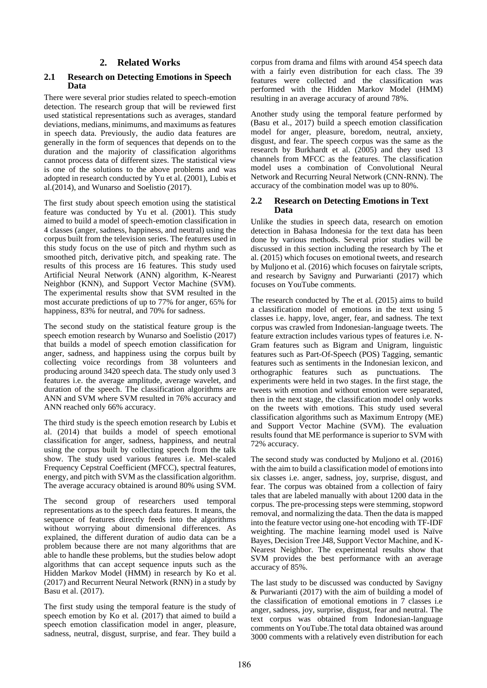## **2. Related Works**

#### **2.1 Research on Detecting Emotions in Speech Data**

There were several prior studies related to speech-emotion detection. The research group that will be reviewed first used statistical representations such as averages, standard deviations, medians, minimums, and maximums as features in speech data. Previously, the audio data features are generally in the form of sequences that depends on to the duration and the majority of classification algorithms cannot process data of different sizes. The statistical view is one of the solutions to the above problems and was adopted in research conducted by Yu et al. (2001), Lubis et al.(2014), and Wunarso and Soelistio (2017).

The first study about speech emotion using the statistical feature was conducted by Yu et al. (2001). This study aimed to build a model of speech-emotion classification in 4 classes (anger, sadness, happiness, and neutral) using the corpus built from the television series. The features used in this study focus on the use of pitch and rhythm such as smoothed pitch, derivative pitch, and speaking rate. The results of this process are 16 features. This study used Artificial Neural Network (ANN) algorithm, K-Nearest Neighbor (KNN), and Support Vector Machine (SVM). The experimental results show that SVM resulted in the most accurate predictions of up to 77% for anger, 65% for happiness, 83% for neutral, and 70% for sadness.

The second study on the statistical feature group is the speech emotion research by Wunarso and Soelistio (2017) that builds a model of speech emotion classification for anger, sadness, and happiness using the corpus built by collecting voice recordings from 38 volunteers and producing around 3420 speech data. The study only used 3 features i.e. the average amplitude, average wavelet, and duration of the speech. The classification algorithms are ANN and SVM where SVM resulted in 76% accuracy and ANN reached only 66% accuracy.

The third study is the speech emotion research by Lubis et al. (2014) that builds a model of speech emotional classification for anger, sadness, happiness, and neutral using the corpus built by collecting speech from the talk show. The study used various features i.e. Mel-scaled Frequency Cepstral Coefficient (MFCC), spectral features, energy, and pitch with SVM as the classification algorithm. The average accuracy obtained is around 80% using SVM.

The second group of researchers used temporal representations as to the speech data features. It means, the sequence of features directly feeds into the algorithms without worrying about dimensional differences. As explained, the different duration of audio data can be a problem because there are not many algorithms that are able to handle these problems, but the studies below adopt algorithms that can accept sequence inputs such as the Hidden Markov Model (HMM) in research by Ko et al. (2017) and Recurrent Neural Network (RNN) in a study by Basu et al. (2017).

The first study using the temporal feature is the study of speech emotion by Ko et al. (2017) that aimed to build a speech emotion classification model in anger, pleasure, sadness, neutral, disgust, surprise, and fear. They build a corpus from drama and films with around 454 speech data with a fairly even distribution for each class. The 39 features were collected and the classification was performed with the Hidden Markov Model (HMM) resulting in an average accuracy of around 78%.

Another study using the temporal feature performed by (Basu et al., 2017) build a speech emotion classification model for anger, pleasure, boredom, neutral, anxiety, disgust, and fear. The speech corpus was the same as the research by Burkhardt et al. (2005) and they used 13 channels from MFCC as the features. The classification model uses a combination of Convolutional Neural Network and Recurring Neural Network (CNN-RNN). The accuracy of the combination model was up to 80%.

### **2.2 Research on Detecting Emotions in Text Data**

Unlike the studies in speech data, research on emotion detection in Bahasa Indonesia for the text data has been done by various methods. Several prior studies will be discussed in this section including the research by The et al. (2015) which focuses on emotional tweets, and research by Muljono et al. (2016) which focuses on fairytale scripts, and research by Savigny and Purwarianti (2017) which focuses on YouTube comments.

The research conducted by The et al. (2015) aims to build a classification model of emotions in the text using 5 classes i.e. happy, love, anger, fear, and sadness. The text corpus was crawled from Indonesian-language tweets. The feature extraction includes various types of features i.e. N-Gram features such as Bigram and Unigram, linguistic features such as Part-Of-Speech (POS) Tagging, semantic features such as sentiments in the Indonesian lexicon, and orthographic features such as punctuations. The experiments were held in two stages. In the first stage, the tweets with emotion and without emotion were separated, then in the next stage, the classification model only works on the tweets with emotions. This study used several classification algorithms such as Maximum Entropy (ME) and Support Vector Machine (SVM). The evaluation results found that ME performance is superior to SVM with 72% accuracy.

The second study was conducted by Muljono et al. (2016) with the aim to build a classification model of emotions into six classes i.e. anger, sadness, joy, surprise, disgust, and fear. The corpus was obtained from a collection of fairy tales that are labeled manually with about 1200 data in the corpus. The pre-processing steps were stemming, stopword removal, and normalizing the data. Then the data is mapped into the feature vector using one-hot encoding with TF-IDF weighting. The machine learning model used is Naïve Bayes, Decision Tree J48, Support Vector Machine, and K-Nearest Neighbor. The experimental results show that SVM provides the best performance with an average accuracy of 85%.

The last study to be discussed was conducted by Savigny & Purwarianti (2017) with the aim of building a model of the classification of emotional emotions in 7 classes i.e anger, sadness, joy, surprise, disgust, fear and neutral. The text corpus was obtained from Indonesian-language comments on YouTube.The total data obtained was around 3000 comments with a relatively even distribution for each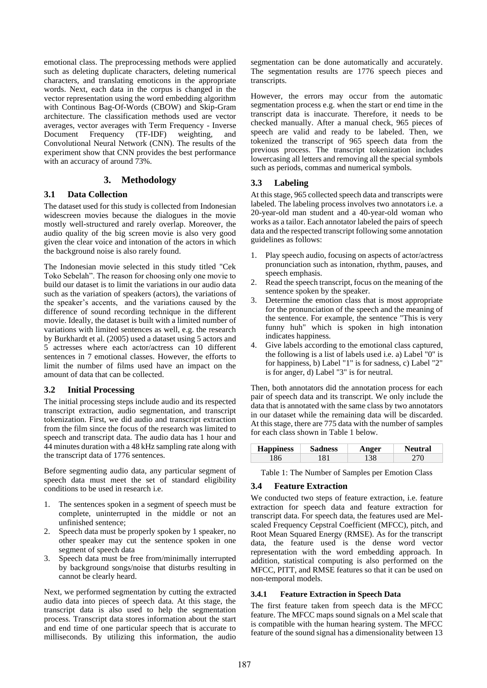emotional class. The preprocessing methods were applied such as deleting duplicate characters, deleting numerical characters, and translating emoticons in the appropriate words. Next, each data in the corpus is changed in the vector representation using the word embedding algorithm with Continous Bag-Of-Words (CBOW) and Skip-Gram architecture. The classification methods used are vector averages, vector averages with Term Frequency - Inverse Document Frequency (TF-IDF) weighting, and Convolutional Neural Network (CNN). The results of the experiment show that CNN provides the best performance with an accuracy of around 73%.

# **3. Methodology**

#### **3.1 Data Collection**

The dataset used for this study is collected from Indonesian widescreen movies because the dialogues in the movie mostly well-structured and rarely overlap. Moreover, the audio quality of the big screen movie is also very good given the clear voice and intonation of the actors in which the background noise is also rarely found.

The Indonesian movie selected in this study titled "Cek Toko Sebelah". The reason for choosing only one movie to build our dataset is to limit the variations in our audio data such as the variation of speakers (actors), the variations of the speaker's accents, and the variations caused by the difference of sound recording technique in the different movie. Ideally, the dataset is built with a limited number of variations with limited sentences as well, e.g. the research by Burkhardt et al. (2005) used a dataset using 5 actors and 5 actresses where each actor/actress can 10 different sentences in 7 emotional classes. However, the efforts to limit the number of films used have an impact on the amount of data that can be collected.

#### **3.2 Initial Processing**

The initial processing steps include audio and its respected transcript extraction, audio segmentation, and transcript tokenization. First, we did audio and transcript extraction from the film since the focus of the research was limited to speech and transcript data. The audio data has 1 hour and 44 minutes duration with a 48 kHz sampling rate along with the transcript data of 1776 sentences.

Before segmenting audio data, any particular segment of speech data must meet the set of standard eligibility conditions to be used in research i.e.

- 1. The sentences spoken in a segment of speech must be complete, uninterrupted in the middle or not an unfinished sentence;
- 2. Speech data must be properly spoken by 1 speaker, no other speaker may cut the sentence spoken in one segment of speech data
- 3. Speech data must be free from/minimally interrupted by background songs/noise that disturbs resulting in cannot be clearly heard.

Next, we performed segmentation by cutting the extracted audio data into pieces of speech data. At this stage, the transcript data is also used to help the segmentation process. Transcript data stores information about the start and end time of one particular speech that is accurate to milliseconds. By utilizing this information, the audio

segmentation can be done automatically and accurately. The segmentation results are 1776 speech pieces and transcripts.

However, the errors may occur from the automatic segmentation process e.g. when the start or end time in the transcript data is inaccurate. Therefore, it needs to be checked manually. After a manual check, 965 pieces of speech are valid and ready to be labeled. Then, we tokenized the transcript of 965 speech data from the previous process. The transcript tokenization includes lowercasing all letters and removing all the special symbols such as periods, commas and numerical symbols.

# **3.3 Labeling**

At this stage, 965 collected speech data and transcripts were labeled. The labeling process involves two annotators i.e. a 20-year-old man student and a 40-year-old woman who works as a tailor. Each annotator labeled the pairs of speech data and the respected transcript following some annotation guidelines as follows:

- 1. Play speech audio, focusing on aspects of actor/actress pronunciation such as intonation, rhythm, pauses, and speech emphasis.
- 2. Read the speech transcript, focus on the meaning of the sentence spoken by the speaker.
- 3. Determine the emotion class that is most appropriate for the pronunciation of the speech and the meaning of the sentence. For example, the sentence "This is very funny huh" which is spoken in high intonation indicates happiness.
- 4. Give labels according to the emotional class captured, the following is a list of labels used i.e. a) Label "0" is for happiness, b) Label "1" is for sadness, c) Label "2" is for anger, d) Label "3" is for neutral.

Then, both annotators did the annotation process for each pair of speech data and its transcript. We only include the data that is annotated with the same class by two annotators in our dataset while the remaining data will be discarded. At this stage, there are 775 data with the number of samples for each class shown in Table 1 below.

| <b>Happiness</b> | <b>Sadness</b> | mger | ral |
|------------------|----------------|------|-----|
| -86              | 1 Q 1          | 38   | 70  |

Table 1: The Number of Samples per Emotion Class

### **3.4 Feature Extraction**

We conducted two steps of feature extraction, i.e. feature extraction for speech data and feature extraction for transcript data. For speech data, the features used are Melscaled Frequency Cepstral Coefficient (MFCC), pitch, and Root Mean Squared Energy (RMSE). As for the transcript data, the feature used is the dense word vector representation with the word embedding approach. In addition, statistical computing is also performed on the MFCC, PITT, and RMSE features so that it can be used on non-temporal models.

#### **3.4.1 Feature Extraction in Speech Data**

The first feature taken from speech data is the MFCC feature. The MFCC maps sound signals on a Mel scale that is compatible with the human hearing system. The MFCC feature of the sound signal has a dimensionality between 13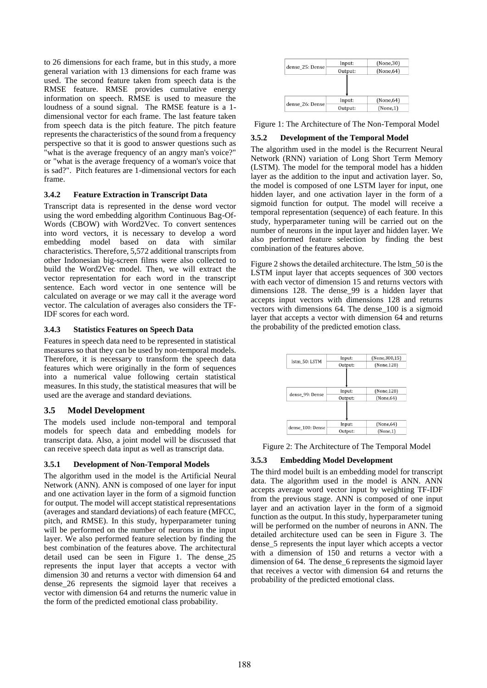to 26 dimensions for each frame, but in this study, a more general variation with 13 dimensions for each frame was used. The second feature taken from speech data is the RMSE feature. RMSE provides cumulative energy information on speech. RMSE is used to measure the loudness of a sound signal. The RMSE feature is a 1 dimensional vector for each frame. The last feature taken from speech data is the pitch feature. The pitch feature represents the characteristics of the sound from a frequency perspective so that it is good to answer questions such as "what is the average frequency of an angry man's voice?" or "what is the average frequency of a woman's voice that is sad?". Pitch features are 1-dimensional vectors for each frame.

#### **3.4.2 Feature Extraction in Transcript Data**

Transcript data is represented in the dense word vector using the word embedding algorithm Continuous Bag-Of-Words (CBOW) with Word2Vec. To convert sentences into word vectors, it is necessary to develop a word embedding model based on data with similar characteristics. Therefore, 5,572 additional transcripts from other Indonesian big-screen films were also collected to build the Word2Vec model. Then, we will extract the vector representation for each word in the transcript sentence. Each word vector in one sentence will be calculated on average or we may call it the average word vector. The calculation of averages also considers the TF-IDF scores for each word.

#### **3.4.3 Statistics Features on Speech Data**

Features in speech data need to be represented in statistical measures so that they can be used by non-temporal models. Therefore, it is necessary to transform the speech data features which were originally in the form of sequences into a numerical value following certain statistical measures. In this study, the statistical measures that will be used are the average and standard deviations.

### **3.5 Model Development**

The models used include non-temporal and temporal models for speech data and embedding models for transcript data. Also, a joint model will be discussed that can receive speech data input as well as transcript data.

### **3.5.1 Development of Non-Temporal Models**

The algorithm used in the model is the Artificial Neural Network (ANN). ANN is composed of one layer for input and one activation layer in the form of a sigmoid function for output. The model will accept statistical representations (averages and standard deviations) of each feature (MFCC, pitch, and RMSE). In this study, hyperparameter tuning will be performed on the number of neurons in the input layer. We also performed feature selection by finding the best combination of the features above. The architectural detail used can be seen in Figure 1. The dense\_25 represents the input layer that accepts a vector with dimension 30 and returns a vector with dimension 64 and dense\_26 represents the sigmoid layer that receives a vector with dimension 64 and returns the numeric value in the form of the predicted emotional class probability.



Figure 1: The Architecture of The Non-Temporal Model

# **3.5.2 Development of the Temporal Model**

The algorithm used in the model is the Recurrent Neural Network (RNN) variation of Long Short Term Memory (LSTM). The model for the temporal model has a hidden layer as the addition to the input and activation layer. So, the model is composed of one LSTM layer for input, one hidden layer, and one activation layer in the form of a sigmoid function for output. The model will receive a temporal representation (sequence) of each feature. In this study, hyperparameter tuning will be carried out on the number of neurons in the input layer and hidden layer. We also performed feature selection by finding the best combination of the features above.

Figure 2 shows the detailed architecture. The lstm\_50 is the LSTM input layer that accepts sequences of 300 vectors with each vector of dimension 15 and returns vectors with dimensions 128. The dense\_99 is a hidden layer that accepts input vectors with dimensions 128 and returns vectors with dimensions 64. The dense\_100 is a sigmoid layer that accepts a vector with dimension 64 and returns the probability of the predicted emotion class.



Figure 2: The Architecture of The Temporal Model

### **3.5.3 Embedding Model Development**

The third model built is an embedding model for transcript data. The algorithm used in the model is ANN. ANN accepts average word vector input by weighting TF-IDF from the previous stage. ANN is composed of one input layer and an activation layer in the form of a sigmoid function as the output. In this study, hyperparameter tuning will be performed on the number of neurons in ANN. The detailed architecture used can be seen in Figure 3. The dense\_5 represents the input layer which accepts a vector with a dimension of 150 and returns a vector with a dimension of 64. The dense\_6 represents the sigmoid layer that receives a vector with dimension 64 and returns the probability of the predicted emotional class.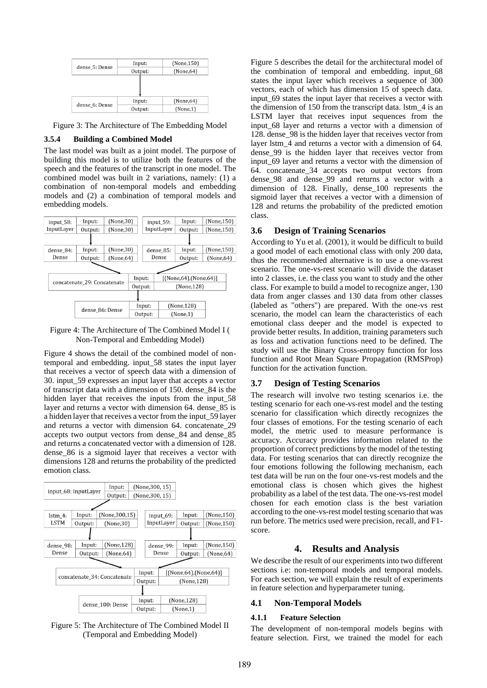

Figure 3: The Architecture of The Embedding Model

## **3.5.4 Building a Combined Model**

The last model was built as a joint model. The purpose of building this model is to utilize both the features of the speech and the features of the transcript in one model. The combined model was built in 2 variations, namely: (1) a combination of non-temporal models and embedding models and (2) a combination of temporal models and embedding models.



Figure 4: The Architecture of The Combined Model I ( Non-Temporal and Embedding Model)

Figure 4 shows the detail of the combined model of nontemporal and embedding. input\_58 states the input layer that receives a vector of speech data with a dimension of 30. input\_59 expresses an input layer that accepts a vector of transcript data with a dimension of 150. dense\_84 is the hidden layer that receives the inputs from the input 58 layer and returns a vector with dimension 64. dense\_85 is a hidden layer that receives a vector from the input\_59 layer and returns a vector with dimension 64. concatenate\_29 accepts two output vectors from dense\_84 and dense\_85 and returns a concatenated vector with a dimension of 128. dense\_86 is a sigmoid layer that receives a vector with dimensions 128 and returns the probability of the predicted emotion class.



Figure 5: The Architecture of The Combined Model II (Temporal and Embedding Model)

Figure 5 describes the detail for the architectural model of the combination of temporal and embedding. input\_68 states the input layer which receives a sequence of 300 vectors, each of which has dimension 15 of speech data. input 69 states the input layer that receives a vector with the dimension of 150 from the transcript data. lstm\_4 is an LSTM layer that receives input sequences from the input\_68 layer and returns a vector with a dimension of 128. dense\_98 is the hidden layer that receives vector from layer lstm 4 and returns a vector with a dimension of 64. dense\_99 is the hidden layer that receives vector from input\_69 layer and returns a vector with the dimension of 64. concatenate\_34 accepts two output vectors from dense\_98 and dense\_99 and returns a vector with a dimension of 128. Finally, dense\_100 represents the sigmoid layer that receives a vector with a dimension of 128 and returns the probability of the predicted emotion class.

# **3.6 Design of Training Scenarios**

According to Yu et al. (2001), it would be difficult to build a good model of each emotional class with only 200 data, thus the recommended alternative is to use a one-vs-rest scenario. The one-vs-rest scenario will divide the dataset into 2 classes, i.e. the class you want to study and the other class. For example to build a model to recognize anger, 130 data from anger classes and 130 data from other classes (labeled as "others") are prepared. With the one-vs rest scenario, the model can learn the characteristics of each emotional class deeper and the model is expected to provide better results. In addition, training parameters such as loss and activation functions need to be defined. The study will use the Binary Cross-entropy function for loss function and Root Mean Square Propagation (RMSProp) function for the activation function.

# **3.7 Design of Testing Scenarios**

The research will involve two testing scenarios i.e. the testing scenario for each one-vs-rest model and the testing scenario for classification which directly recognizes the four classes of emotions. For the testing scenario of each model, the metric used to measure performance is accuracy. Accuracy provides information related to the proportion of correct predictions by the model of the testing data. For testing scenarios that can directly recognize the four emotions following the following mechanism, each test data will be run on the four one-vs-rest models and the emotional class is chosen which gives the highest probability as a label of the test data. The one-vs-rest model chosen for each emotion class is the best variation according to the one-vs-rest model testing scenario that was run before. The metrics used were precision, recall, and F1 score.

# **4. Results and Analysis**

We describe the result of our experiments into two different sections i.e: non-temporal models and temporal models. For each section, we will explain the result of experiments in feature selection and hyperparameter tuning.

# **4.1 Non-Temporal Models**

### **4.1.1 Feature Selection**

The development of non-temporal models begins with feature selection. First, we trained the model for each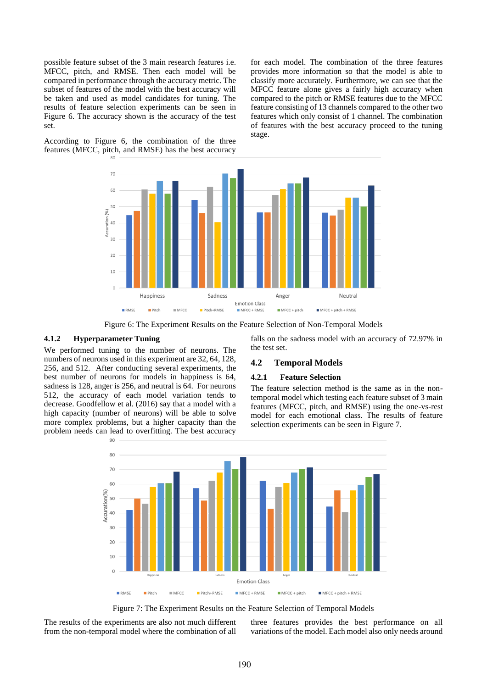possible feature subset of the 3 main research features i.e. MFCC, pitch, and RMSE. Then each model will be compared in performance through the accuracy metric. The subset of features of the model with the best accuracy will be taken and used as model candidates for tuning. The results of feature selection experiments can be seen in Figure 6. The accuracy shown is the accuracy of the test set.

According to Figure 6, the combination of the three features (MFCC, pitch, and RMSE) has the best accuracy for each model. The combination of the three features provides more information so that the model is able to classify more accurately. Furthermore, we can see that the MFCC feature alone gives a fairly high accuracy when compared to the pitch or RMSE features due to the MFCC feature consisting of 13 channels compared to the other two features which only consist of 1 channel. The combination of features with the best accuracy proceed to the tuning stage.



Figure 6: The Experiment Results on the Feature Selection of Non-Temporal Models

### **4.1.2 Hyperparameter Tuning**

We performed tuning to the number of neurons. The numbers of neurons used in this experiment are 32, 64, 128, 256, and 512. After conducting several experiments, the best number of neurons for models in happiness is 64, sadness is 128, anger is 256, and neutral is 64. For neurons 512, the accuracy of each model variation tends to decrease. Goodfellow et al. (2016) say that a model with a high capacity (number of neurons) will be able to solve more complex problems, but a higher capacity than the problem needs can lead to overfitting. The best accuracy

falls on the sadness model with an accuracy of 72.97% in the test set.

#### **4.2 Temporal Models**

#### **4.2.1 Feature Selection**

The feature selection method is the same as in the nontemporal model which testing each feature subset of 3 main features (MFCC, pitch, and RMSE) using the one-vs-rest model for each emotional class. The results of feature selection experiments can be seen in Figure 7.



Figure 7: The Experiment Results on the Feature Selection of Temporal Models

The results of the experiments are also not much different from the non-temporal model where the combination of all

three features provides the best performance on all variations of the model. Each model also only needs around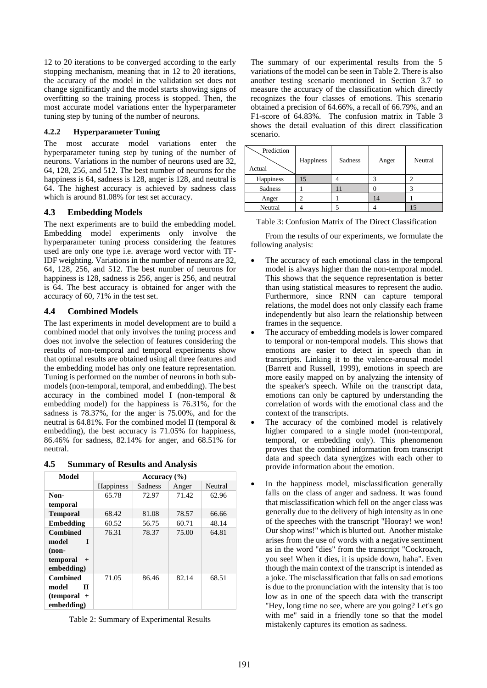12 to 20 iterations to be converged according to the early stopping mechanism, meaning that in 12 to 20 iterations, the accuracy of the model in the validation set does not change significantly and the model starts showing signs of overfitting so the training process is stopped. Then, the most accurate model variations enter the hyperparameter tuning step by tuning of the number of neurons.

#### **4.2.2 Hyperparameter Tuning**

The most accurate model variations enter the hyperparameter tuning step by tuning of the number of neurons. Variations in the number of neurons used are 32, 64, 128, 256, and 512. The best number of neurons for the happiness is 64, sadness is 128, anger is 128, and neutral is 64. The highest accuracy is achieved by sadness class which is around 81.08% for test set accuracy.

### **4.3 Embedding Models**

The next experiments are to build the embedding model. Embedding model experiments only involve the hyperparameter tuning process considering the features used are only one type i.e. average word vector with TF-IDF weighting. Variations in the number of neurons are 32, 64, 128, 256, and 512. The best number of neurons for happiness is 128, sadness is 256, anger is 256, and neutral is 64. The best accuracy is obtained for anger with the accuracy of 60, 71% in the test set.

# **4.4 Combined Models**

The last experiments in model development are to build a combined model that only involves the tuning process and does not involve the selection of features considering the results of non-temporal and temporal experiments show that optimal results are obtained using all three features and the embedding model has only one feature representation. Tuning is performed on the number of neurons in both submodels (non-temporal, temporal, and embedding). The best accuracy in the combined model I (non-temporal & embedding model) for the happiness is 76.31%, for the sadness is 78.37%, for the anger is 75.00%, and for the neutral is 64.81%. For the combined model II (temporal & embedding), the best accuracy is 71.05% for happiness, 86.46% for sadness, 82.14% for anger, and 68.51% for neutral.

| <b>Summary of Results and Analysis</b> | 4.5 |  |  |  |  |
|----------------------------------------|-----|--|--|--|--|
|----------------------------------------|-----|--|--|--|--|

| Model            | Accuracy $(\% )$ |         |       |         |
|------------------|------------------|---------|-------|---------|
|                  | Happiness        | Sadness | Anger | Neutral |
| Non-             | 65.78            | 72.97   | 71.42 | 62.96   |
| temporal         |                  |         |       |         |
| <b>Temporal</b>  | 68.42            | 81.08   | 78.57 | 66.66   |
| <b>Embedding</b> | 60.52            | 56.75   | 60.71 | 48.14   |
| <b>Combined</b>  | 76.31            | 78.37   | 75.00 | 64.81   |
| model<br>T       |                  |         |       |         |
| $non-$           |                  |         |       |         |
| temporal<br>$+$  |                  |         |       |         |
| embedding)       |                  |         |       |         |
| <b>Combined</b>  | 71.05            | 86.46   | 82.14 | 68.51   |
| model<br>П       |                  |         |       |         |
| $(temporal +$    |                  |         |       |         |
| embedding)       |                  |         |       |         |

| Table 2: Summary of Experimental Results |  |  |  |
|------------------------------------------|--|--|--|
|------------------------------------------|--|--|--|

The summary of our experimental results from the 5 variations of the model can be seen in Table 2. There is also another testing scenario mentioned in Section 3.7 to measure the accuracy of the classification which directly recognizes the four classes of emotions. This scenario obtained a precision of 64.66%, a recall of 66.79%, and an F1-score of 64.83%. The confusion matrix in Table 3 shows the detail evaluation of this direct classification scenario.

| Prediction<br>Actual | Happiness | Sadness | Anger | Neutral |
|----------------------|-----------|---------|-------|---------|
| Happiness            | 15        |         |       |         |
| Sadness              |           |         |       |         |
| Anger                |           |         |       |         |
| Neutral              |           |         |       |         |

| Table 3: Confusion Matrix of The Direct Classification |  |
|--------------------------------------------------------|--|
|--------------------------------------------------------|--|

From the results of our experiments, we formulate the following analysis:

- The accuracy of each emotional class in the temporal model is always higher than the non-temporal model. This shows that the sequence representation is better than using statistical measures to represent the audio. Furthermore, since RNN can capture temporal relations, the model does not only classify each frame independently but also learn the relationship between frames in the sequence.
- The accuracy of embedding models is lower compared to temporal or non-temporal models. This shows that emotions are easier to detect in speech than in transcripts. Linking it to the valence-arousal model (Barrett and Russell, 1999), emotions in speech are more easily mapped on by analyzing the intensity of the speaker's speech. While on the transcript data, emotions can only be captured by understanding the correlation of words with the emotional class and the context of the transcripts.
- The accuracy of the combined model is relatively higher compared to a single model (non-temporal, temporal, or embedding only). This phenomenon proves that the combined information from transcript data and speech data synergizes with each other to provide information about the emotion.
- In the happiness model, misclassification generally falls on the class of anger and sadness. It was found that misclassification which fell on the anger class was generally due to the delivery of high intensity as in one of the speeches with the transcript "Hooray! we won! Our shop wins!" which is blurted out. Another mistake arises from the use of words with a negative sentiment as in the word "dies" from the transcript "Cockroach, you see! When it dies, it is upside down, haha". Even though the main context of the transcript is intended as a joke. The misclassification that falls on sad emotions is due to the pronunciation with the intensity that is too low as in one of the speech data with the transcript "Hey, long time no see, where are you going? Let's go with me" said in a friendly tone so that the model mistakenly captures its emotion as sadness.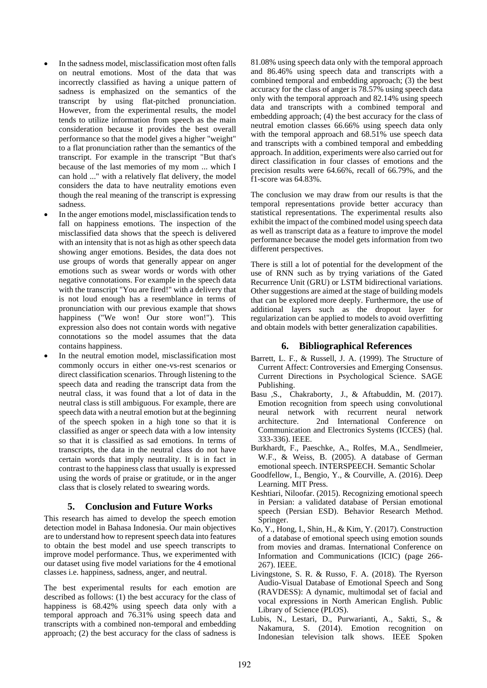- In the sadness model, misclassification most often falls on neutral emotions. Most of the data that was incorrectly classified as having a unique pattern of sadness is emphasized on the semantics of the transcript by using flat-pitched pronunciation. However, from the experimental results, the model tends to utilize information from speech as the main consideration because it provides the best overall performance so that the model gives a higher "weight" to a flat pronunciation rather than the semantics of the transcript. For example in the transcript "But that's because of the last memories of my mom ... which I can hold ..." with a relatively flat delivery, the model considers the data to have neutrality emotions even though the real meaning of the transcript is expressing sadness.
- In the anger emotions model, misclassification tends to fall on happiness emotions. The inspection of the misclassified data shows that the speech is delivered with an intensity that is not as high as other speech data showing anger emotions. Besides, the data does not use groups of words that generally appear on anger emotions such as swear words or words with other negative connotations. For example in the speech data with the transcript "You are fired!" with a delivery that is not loud enough has a resemblance in terms of pronunciation with our previous example that shows happiness ("We won! Our store won!"). This expression also does not contain words with negative connotations so the model assumes that the data contains happiness.
- In the neutral emotion model, misclassification most commonly occurs in either one-vs-rest scenarios or direct classification scenarios. Through listening to the speech data and reading the transcript data from the neutral class, it was found that a lot of data in the neutral class is still ambiguous. For example, there are speech data with a neutral emotion but at the beginning of the speech spoken in a high tone so that it is classified as anger or speech data with a low intensity so that it is classified as sad emotions. In terms of transcripts, the data in the neutral class do not have certain words that imply neutrality. It is in fact in contrast to the happiness class that usually is expressed using the words of praise or gratitude, or in the anger class that is closely related to swearing words.

# **5. Conclusion and Future Works**

This research has aimed to develop the speech emotion detection model in Bahasa Indonesia. Our main objectives are to understand how to represent speech data into features to obtain the best model and use speech transcripts to improve model performance. Thus, we experimented with our dataset using five model variations for the 4 emotional classes i.e. happiness, sadness, anger, and neutral.

The best experimental results for each emotion are described as follows: (1) the best accuracy for the class of happiness is 68.42% using speech data only with a temporal approach and 76.31% using speech data and transcripts with a combined non-temporal and embedding approach; (2) the best accuracy for the class of sadness is

81.08% using speech data only with the temporal approach and 86.46% using speech data and transcripts with a combined temporal and embedding approach; (3) the best accuracy for the class of anger is 78.57% using speech data only with the temporal approach and 82.14% using speech data and transcripts with a combined temporal and embedding approach; (4) the best accuracy for the class of neutral emotion classes 66.66% using speech data only with the temporal approach and 68.51% use speech data and transcripts with a combined temporal and embedding approach. In addition, experiments were also carried out for direct classification in four classes of emotions and the precision results were 64.66%, recall of 66.79%, and the f1-score was 64.83%.

The conclusion we may draw from our results is that the temporal representations provide better accuracy than statistical representations. The experimental results also exhibit the impact of the combined model using speech data as well as transcript data as a feature to improve the model performance because the model gets information from two different perspectives.

There is still a lot of potential for the development of the use of RNN such as by trying variations of the Gated Recurrence Unit (GRU) or LSTM bidirectional variations. Other suggestions are aimed at the stage of building models that can be explored more deeply. Furthermore, the use of additional layers such as the dropout layer for regularization can be applied to models to avoid overfitting and obtain models with better generalization capabilities.

# **6. Bibliographical References**

- Barrett, L. F., & Russell, J. A. (1999). The Structure of Current Affect: Controversies and Emerging Consensus. Current Directions in Psychological Science. SAGE Publishing.
- Basu ,S., Chakraborty, J., & Aftabuddin, M. (2017). Emotion recognition from speech using convolutional neural network with recurrent neural network architecture. 2nd International Conference on Communication and Electronics Systems (ICCES) (hal. 333-336). IEEE.
- Burkhardt, F., Paeschke, A., Rolfes, M.A., Sendlmeier, W.F., & Weiss, B. (2005). A database of German emotional speech. INTERSPEECH. Semantic Scholar
- Goodfellow, I., Bengio, Y., & Courville, A. (2016). Deep Learning. MIT Press.
- Keshtiari, Niloofar. (2015). Recognizing emotional speech in Persian: a validated database of Persian emotional speech (Persian ESD). Behavior Research Method. Springer.
- Ko, Y., Hong, I., Shin, H., & Kim, Y. (2017). Construction of a database of emotional speech using emotion sounds from movies and dramas. International Conference on Information and Communications (ICIC) (page 266- 267). IEEE.
- Livingstone, S. R. & Russo, F. A. (2018). The Ryerson Audio-Visual Database of Emotional Speech and Song (RAVDESS): A dynamic, multimodal set of facial and vocal expressions in North American English. Public Library of Science (PLOS).
- Lubis, N., Lestari, D., Purwarianti, A., Sakti, S., & Nakamura, S. (2014). Emotion recognition on Indonesian television talk shows. IEEE Spoken